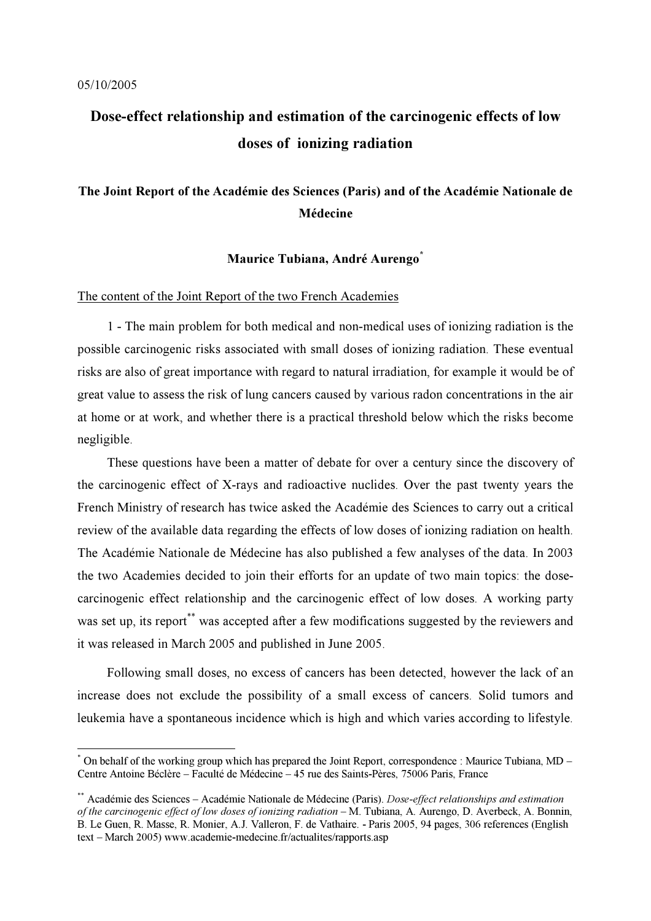$\overline{a}$ 

# Dose-effect relationship and estimation of the carcinogenic effects of low doses of ionizing radiation

## The Joint Report of the Académie des Sciences (Paris) and of the Académie Nationale de Médecine

### Maurice Tubiana, André Aurengo<sup>\*</sup>

#### The content of the Joint Report of the two French Academies

1 - The main problem for both medical and non-medical uses of ionizing radiation is the possible carcinogenic risks associated with small doses of ionizing radiation. These eventual risks are also of great importance with regard to natural irradiation, for example it would be of great value to assess the risk of lung cancers caused by various radon concentrations in the air at home or at work, and whether there is a practical threshold below which the risks become negligible.

These questions have been a matter of debate for over a century since the discovery of the carcinogenic effect of X-rays and radioactive nuclides. Over the past twenty years the French Ministry of research has twice asked the Académie des Sciences to carry out a critical review of the available data regarding the effects of low doses of ionizing radiation on health. The Académie Nationale de Médecine has also published a few analyses of the data. In 2003 the two Academies decided to join their efforts for an update of two main topics: the dosecarcinogenic effect relationship and the carcinogenic effect of low doses. A working party was set up, its report<sup>\*\*</sup> was accepted after a few modifications suggested by the reviewers and it was released in March 2005 and published in June 2005.

Following small doses, no excess of cancers has been detected, however the lack of an increase does not exclude the possibility of a small excess of cancers. Solid tumors and leukemia have a spontaneous incidence which is high and which varies according to lifestyle.

<sup>\*</sup> On behalf of the working group which has prepared the Joint Report, correspondence : Maurice Tubiana, MD – Centre Antoine Béclère – Faculté de Médecine – 45 rue des Saints-Pères, 75006 Paris, France

<sup>\*\*</sup> Académie des Sciences – Académie Nationale de Médecine (Paris). *Dose-effect relationships and estimation* of the carcinogenic effect of low doses of ionizing radiation – M. Tubiana, A. Aurengo, D. Averbeck, A. Bonnin, B. Le Guen, R. Masse, R. Monier, A.J. Valleron, F. de Vathaire. - Paris 2005, 94 pages, 306 references (English text – March 2005) www.academie-medecine.fr/actualites/rapports.asp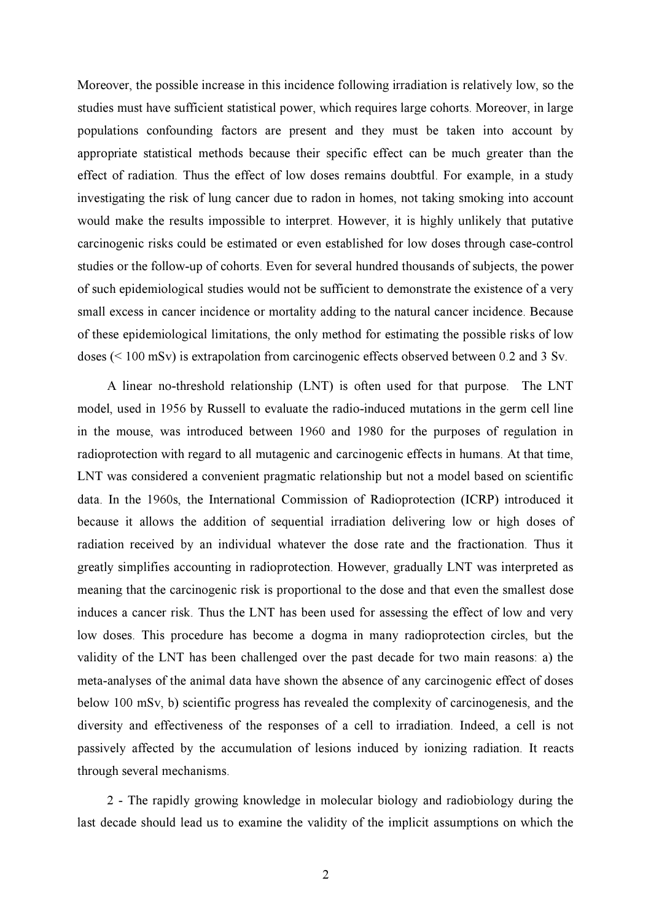Moreover, the possible increase in this incidence following irradiation is relatively low, so the studies must have sufficient statistical power, which requires large cohorts. Moreover, in large populations confounding factors are present and they must be taken into account by appropriate statistical methods because their specific effect can be much greater than the effect of radiation. Thus the effect of low doses remains doubtful. For example, in a study investigating the risk of lung cancer due to radon in homes, not taking smoking into account would make the results impossible to interpret. However, it is highly unlikely that putative carcinogenic risks could be estimated or even established for low doses through case-control studies or the follow-up of cohorts. Even for several hundred thousands of subjects, the power of such epidemiological studies would not be sufficient to demonstrate the existence of a very small excess in cancer incidence or mortality adding to the natural cancer incidence. Because of these epidemiological limitations, the only method for estimating the possible risks of low doses (< 100 mSv) is extrapolation from carcinogenic effects observed between 0.2 and 3 Sv.

A linear no-threshold relationship (LNT) is often used for that purpose. The LNT model, used in 1956 by Russell to evaluate the radio-induced mutations in the germ cell line in the mouse, was introduced between 1960 and 1980 for the purposes of regulation in radioprotection with regard to all mutagenic and carcinogenic effects in humans. At that time, LNT was considered a convenient pragmatic relationship but not a model based on scientific data. In the 1960s, the International Commission of Radioprotection (ICRP) introduced it because it allows the addition of sequential irradiation delivering low or high doses of radiation received by an individual whatever the dose rate and the fractionation. Thus it greatly simplifies accounting in radioprotection. However, gradually LNT was interpreted as meaning that the carcinogenic risk is proportional to the dose and that even the smallest dose induces a cancer risk. Thus the LNT has been used for assessing the effect of low and very low doses. This procedure has become a dogma in many radioprotection circles, but the validity of the LNT has been challenged over the past decade for two main reasons: a) the meta-analyses of the animal data have shown the absence of any carcinogenic effect of doses below 100 mSv, b) scientific progress has revealed the complexity of carcinogenesis, and the diversity and effectiveness of the responses of a cell to irradiation. Indeed, a cell is not passively affected by the accumulation of lesions induced by ionizing radiation. It reacts through several mechanisms.

2 - The rapidly growing knowledge in molecular biology and radiobiology during the last decade should lead us to examine the validity of the implicit assumptions on which the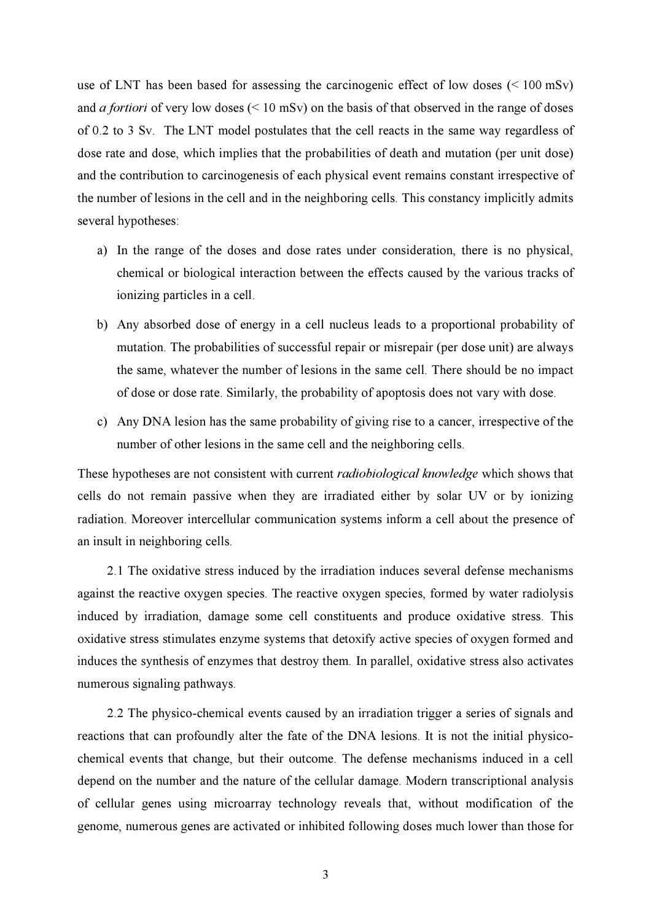use of LNT has been based for assessing the carcinogenic effect of low doses (< 100 mSv) and *a fortiori* of very low doses ( $\leq 10$  mSv) on the basis of that observed in the range of doses of 0.2 to 3 Sv. The LNT model postulates that the cell reacts in the same way regardless of dose rate and dose, which implies that the probabilities of death and mutation (per unit dose) and the contribution to carcinogenesis of each physical event remains constant irrespective of the number of lesions in the cell and in the neighboring cells. This constancy implicitly admits several hypotheses:

- a) In the range of the doses and dose rates under consideration, there is no physical, chemical or biological interaction between the effects caused by the various tracks of ionizing particles in a cell.
- b) Any absorbed dose of energy in a cell nucleus leads to a proportional probability of mutation. The probabilities of successful repair or misrepair (per dose unit) are always the same, whatever the number of lesions in the same cell. There should be no impact of dose or dose rate. Similarly, the probability of apoptosis does not vary with dose.
- c) Any DNA lesion has the same probability of giving rise to a cancer, irrespective of the number of other lesions in the same cell and the neighboring cells.

These hypotheses are not consistent with current *radiobiological knowledge* which shows that cells do not remain passive when they are irradiated either by solar UV or by ionizing radiation. Moreover intercellular communication systems inform a cell about the presence of an insult in neighboring cells.

2.1 The oxidative stress induced by the irradiation induces several defense mechanisms against the reactive oxygen species. The reactive oxygen species, formed by water radiolysis induced by irradiation, damage some cell constituents and produce oxidative stress. This oxidative stress stimulates enzyme systems that detoxify active species of oxygen formed and induces the synthesis of enzymes that destroy them. In parallel, oxidative stress also activates numerous signaling pathways.

2.2 The physico-chemical events caused by an irradiation trigger a series of signals and reactions that can profoundly alter the fate of the DNA lesions. It is not the initial physicochemical events that change, but their outcome. The defense mechanisms induced in a cell depend on the number and the nature of the cellular damage. Modern transcriptional analysis of cellular genes using microarray technology reveals that, without modification of the genome, numerous genes are activated or inhibited following doses much lower than those for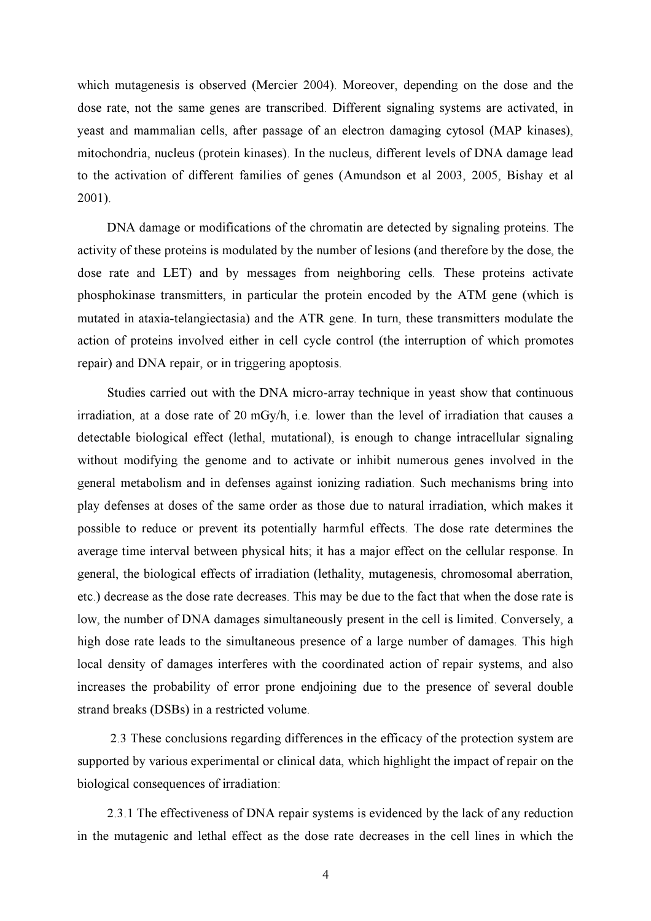which mutagenesis is observed (Mercier 2004). Moreover, depending on the dose and the dose rate, not the same genes are transcribed. Different signaling systems are activated, in yeast and mammalian cells, after passage of an electron damaging cytosol (MAP kinases), mitochondria, nucleus (protein kinases). In the nucleus, different levels of DNA damage lead to the activation of different families of genes (Amundson et al 2003, 2005, Bishay et al 2001).

DNA damage or modifications of the chromatin are detected by signaling proteins. The activity of these proteins is modulated by the number of lesions (and therefore by the dose, the dose rate and LET) and by messages from neighboring cells. These proteins activate phosphokinase transmitters, in particular the protein encoded by the ATM gene (which is mutated in ataxia-telangiectasia) and the ATR gene. In turn, these transmitters modulate the action of proteins involved either in cell cycle control (the interruption of which promotes repair) and DNA repair, or in triggering apoptosis.

Studies carried out with the DNA micro-array technique in yeast show that continuous irradiation, at a dose rate of 20 mGy/h, i.e. lower than the level of irradiation that causes a detectable biological effect (lethal, mutational), is enough to change intracellular signaling without modifying the genome and to activate or inhibit numerous genes involved in the general metabolism and in defenses against ionizing radiation. Such mechanisms bring into play defenses at doses of the same order as those due to natural irradiation, which makes it possible to reduce or prevent its potentially harmful effects. The dose rate determines the average time interval between physical hits; it has a major effect on the cellular response. In general, the biological effects of irradiation (lethality, mutagenesis, chromosomal aberration, etc.) decrease as the dose rate decreases. This may be due to the fact that when the dose rate is low, the number of DNA damages simultaneously present in the cell is limited. Conversely, a high dose rate leads to the simultaneous presence of a large number of damages. This high local density of damages interferes with the coordinated action of repair systems, and also increases the probability of error prone endjoining due to the presence of several double strand breaks (DSBs) in a restricted volume.

 2.3 These conclusions regarding differences in the efficacy of the protection system are supported by various experimental or clinical data, which highlight the impact of repair on the biological consequences of irradiation:

2.3.1 The effectiveness of DNA repair systems is evidenced by the lack of any reduction in the mutagenic and lethal effect as the dose rate decreases in the cell lines in which the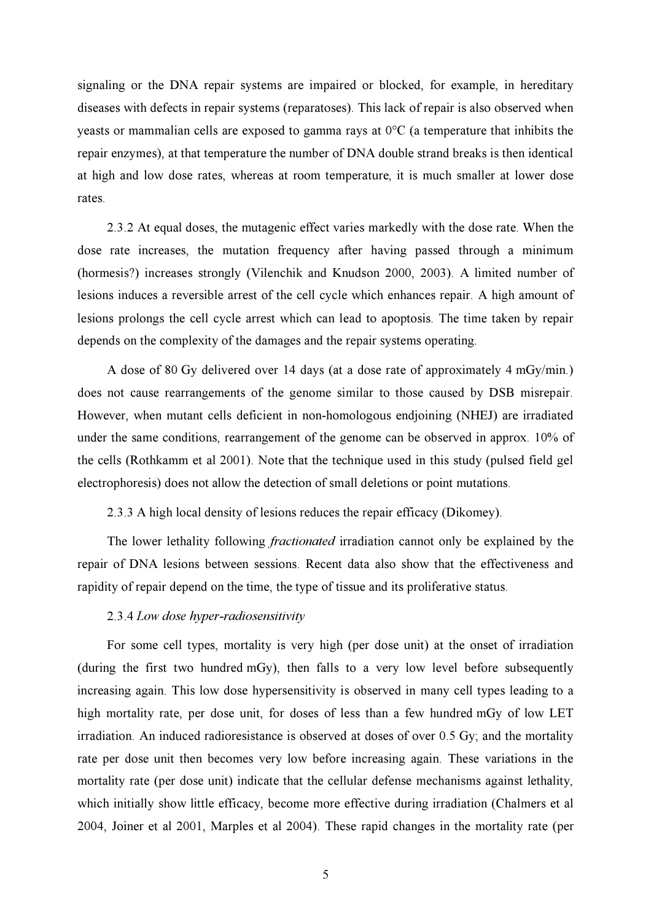signaling or the DNA repair systems are impaired or blocked, for example, in hereditary diseases with defects in repair systems (reparatoses). This lack of repair is also observed when yeasts or mammalian cells are exposed to gamma rays at 0°C (a temperature that inhibits the repair enzymes), at that temperature the number of DNA double strand breaks is then identical at high and low dose rates, whereas at room temperature, it is much smaller at lower dose rates.

2.3.2 At equal doses, the mutagenic effect varies markedly with the dose rate. When the dose rate increases, the mutation frequency after having passed through a minimum (hormesis?) increases strongly (Vilenchik and Knudson 2000, 2003). A limited number of lesions induces a reversible arrest of the cell cycle which enhances repair. A high amount of lesions prolongs the cell cycle arrest which can lead to apoptosis. The time taken by repair depends on the complexity of the damages and the repair systems operating.

A dose of 80 Gy delivered over 14 days (at a dose rate of approximately 4 mGy/min.) does not cause rearrangements of the genome similar to those caused by DSB misrepair. However, when mutant cells deficient in non-homologous endjoining (NHEJ) are irradiated under the same conditions, rearrangement of the genome can be observed in approx. 10% of the cells (Rothkamm et al 2001). Note that the technique used in this study (pulsed field gel electrophoresis) does not allow the detection of small deletions or point mutations.

2.3.3 A high local density of lesions reduces the repair efficacy (Dikomey).

The lower lethality following *fractionated* irradiation cannot only be explained by the repair of DNA lesions between sessions. Recent data also show that the effectiveness and rapidity of repair depend on the time, the type of tissue and its proliferative status.

#### 2.3.4 Low dose hyper-radiosensitivity

For some cell types, mortality is very high (per dose unit) at the onset of irradiation (during the first two hundred mGy), then falls to a very low level before subsequently increasing again. This low dose hypersensitivity is observed in many cell types leading to a high mortality rate, per dose unit, for doses of less than a few hundred mGy of low LET irradiation. An induced radioresistance is observed at doses of over 0.5 Gy; and the mortality rate per dose unit then becomes very low before increasing again. These variations in the mortality rate (per dose unit) indicate that the cellular defense mechanisms against lethality, which initially show little efficacy, become more effective during irradiation (Chalmers et al 2004, Joiner et al 2001, Marples et al 2004). These rapid changes in the mortality rate (per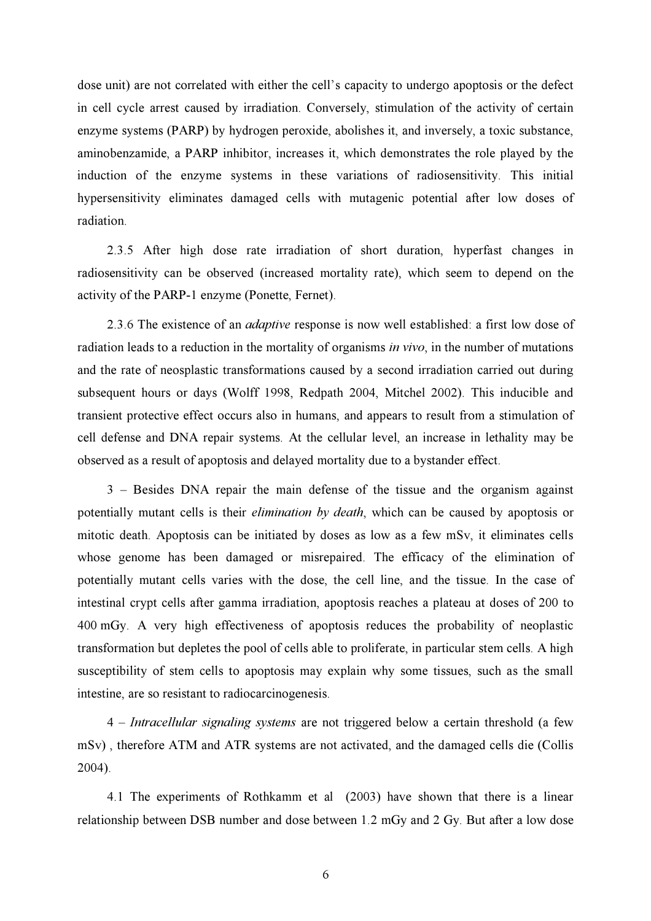dose unit) are not correlated with either the cell's capacity to undergo apoptosis or the defect in cell cycle arrest caused by irradiation. Conversely, stimulation of the activity of certain enzyme systems (PARP) by hydrogen peroxide, abolishes it, and inversely, a toxic substance, aminobenzamide, a PARP inhibitor, increases it, which demonstrates the role played by the induction of the enzyme systems in these variations of radiosensitivity. This initial hypersensitivity eliminates damaged cells with mutagenic potential after low doses of radiation.

2.3.5 After high dose rate irradiation of short duration, hyperfast changes in radiosensitivity can be observed (increased mortality rate), which seem to depend on the activity of the PARP-1 enzyme (Ponette, Fernet).

2.3.6 The existence of an *adaptive* response is now well established: a first low dose of radiation leads to a reduction in the mortality of organisms *in vivo*, in the number of mutations and the rate of neosplastic transformations caused by a second irradiation carried out during subsequent hours or days (Wolff 1998, Redpath 2004, Mitchel 2002). This inducible and transient protective effect occurs also in humans, and appears to result from a stimulation of cell defense and DNA repair systems. At the cellular level, an increase in lethality may be observed as a result of apoptosis and delayed mortality due to a bystander effect.

3 – Besides DNA repair the main defense of the tissue and the organism against potentially mutant cells is their elimination by death, which can be caused by apoptosis or mitotic death. Apoptosis can be initiated by doses as low as a few mSv, it eliminates cells whose genome has been damaged or misrepaired. The efficacy of the elimination of potentially mutant cells varies with the dose, the cell line, and the tissue. In the case of intestinal crypt cells after gamma irradiation, apoptosis reaches a plateau at doses of 200 to 400 mGy. A very high effectiveness of apoptosis reduces the probability of neoplastic transformation but depletes the pool of cells able to proliferate, in particular stem cells. A high susceptibility of stem cells to apoptosis may explain why some tissues, such as the small intestine, are so resistant to radiocarcinogenesis.

4 – Intracellular signaling systems are not triggered below a certain threshold (a few mSv) , therefore ATM and ATR systems are not activated, and the damaged cells die (Collis 2004).

4.1 The experiments of Rothkamm et al (2003) have shown that there is a linear relationship between DSB number and dose between 1.2 mGy and 2 Gy. But after a low dose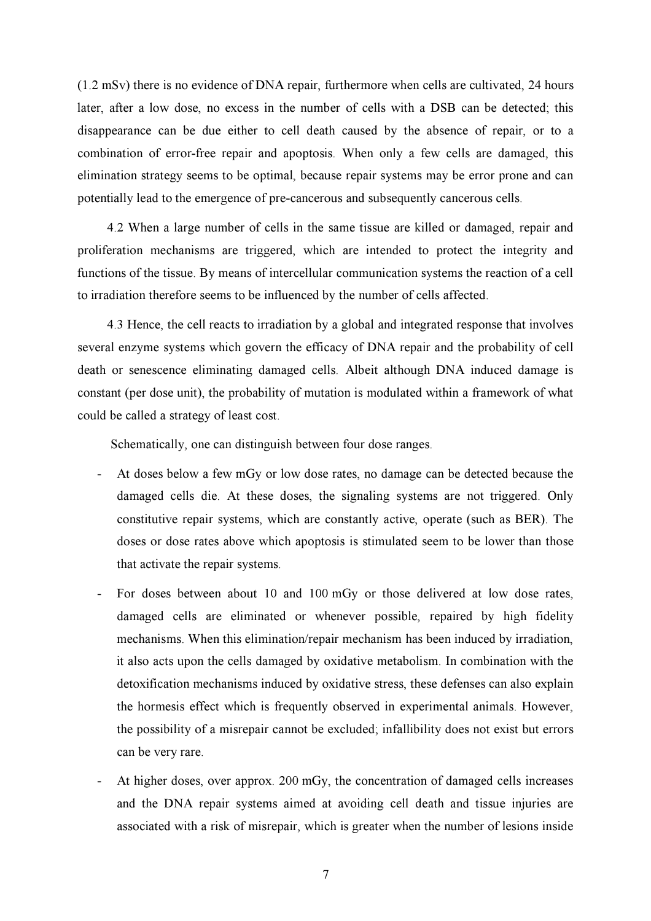(1.2 mSv) there is no evidence of DNA repair, furthermore when cells are cultivated, 24 hours later, after a low dose, no excess in the number of cells with a DSB can be detected; this disappearance can be due either to cell death caused by the absence of repair, or to a combination of error-free repair and apoptosis. When only a few cells are damaged, this elimination strategy seems to be optimal, because repair systems may be error prone and can potentially lead to the emergence of pre-cancerous and subsequently cancerous cells.

4.2 When a large number of cells in the same tissue are killed or damaged, repair and proliferation mechanisms are triggered, which are intended to protect the integrity and functions of the tissue. By means of intercellular communication systems the reaction of a cell to irradiation therefore seems to be influenced by the number of cells affected.

4.3 Hence, the cell reacts to irradiation by a global and integrated response that involves several enzyme systems which govern the efficacy of DNA repair and the probability of cell death or senescence eliminating damaged cells. Albeit although DNA induced damage is constant (per dose unit), the probability of mutation is modulated within a framework of what could be called a strategy of least cost.

Schematically, one can distinguish between four dose ranges.

- At doses below a few mGy or low dose rates, no damage can be detected because the damaged cells die. At these doses, the signaling systems are not triggered. Only constitutive repair systems, which are constantly active, operate (such as BER). The doses or dose rates above which apoptosis is stimulated seem to be lower than those that activate the repair systems.
- For doses between about 10 and 100 mGy or those delivered at low dose rates, damaged cells are eliminated or whenever possible, repaired by high fidelity mechanisms. When this elimination/repair mechanism has been induced by irradiation, it also acts upon the cells damaged by oxidative metabolism. In combination with the detoxification mechanisms induced by oxidative stress, these defenses can also explain the hormesis effect which is frequently observed in experimental animals. However, the possibility of a misrepair cannot be excluded; infallibility does not exist but errors can be very rare.
- At higher doses, over approx. 200 mGy, the concentration of damaged cells increases and the DNA repair systems aimed at avoiding cell death and tissue injuries are associated with a risk of misrepair, which is greater when the number of lesions inside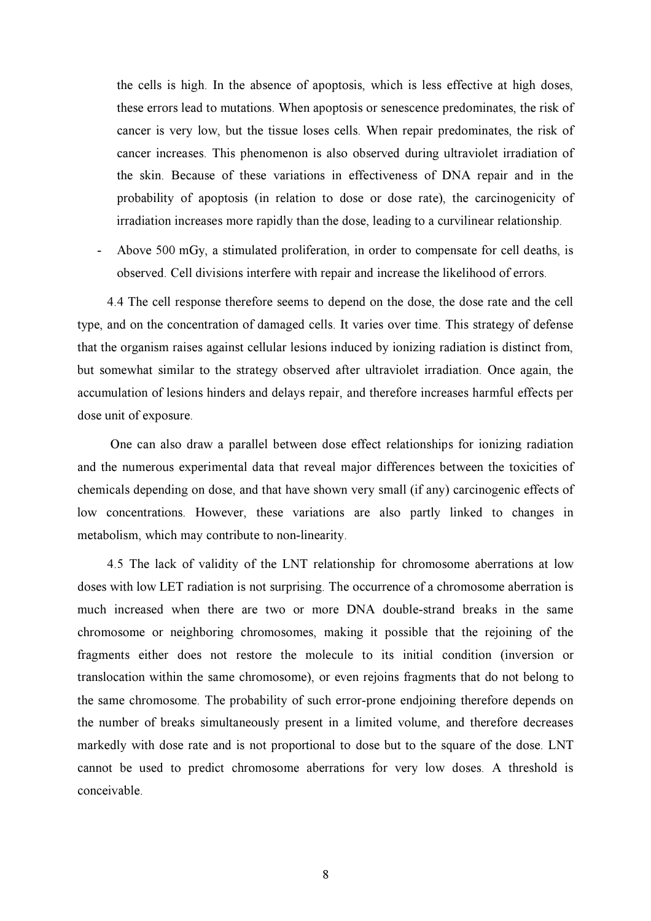the cells is high. In the absence of apoptosis, which is less effective at high doses, these errors lead to mutations. When apoptosis or senescence predominates, the risk of cancer is very low, but the tissue loses cells. When repair predominates, the risk of cancer increases. This phenomenon is also observed during ultraviolet irradiation of the skin. Because of these variations in effectiveness of DNA repair and in the probability of apoptosis (in relation to dose or dose rate), the carcinogenicity of irradiation increases more rapidly than the dose, leading to a curvilinear relationship.

Above 500 mGy, a stimulated proliferation, in order to compensate for cell deaths, is observed. Cell divisions interfere with repair and increase the likelihood of errors.

4.4 The cell response therefore seems to depend on the dose, the dose rate and the cell type, and on the concentration of damaged cells. It varies over time. This strategy of defense that the organism raises against cellular lesions induced by ionizing radiation is distinct from, but somewhat similar to the strategy observed after ultraviolet irradiation. Once again, the accumulation of lesions hinders and delays repair, and therefore increases harmful effects per dose unit of exposure.

 One can also draw a parallel between dose effect relationships for ionizing radiation and the numerous experimental data that reveal major differences between the toxicities of chemicals depending on dose, and that have shown very small (if any) carcinogenic effects of low concentrations. However, these variations are also partly linked to changes in metabolism, which may contribute to non-linearity.

4.5 The lack of validity of the LNT relationship for chromosome aberrations at low doses with low LET radiation is not surprising. The occurrence of a chromosome aberration is much increased when there are two or more DNA double-strand breaks in the same chromosome or neighboring chromosomes, making it possible that the rejoining of the fragments either does not restore the molecule to its initial condition (inversion or translocation within the same chromosome), or even rejoins fragments that do not belong to the same chromosome. The probability of such error-prone endjoining therefore depends on the number of breaks simultaneously present in a limited volume, and therefore decreases markedly with dose rate and is not proportional to dose but to the square of the dose. LNT cannot be used to predict chromosome aberrations for very low doses. A threshold is conceivable.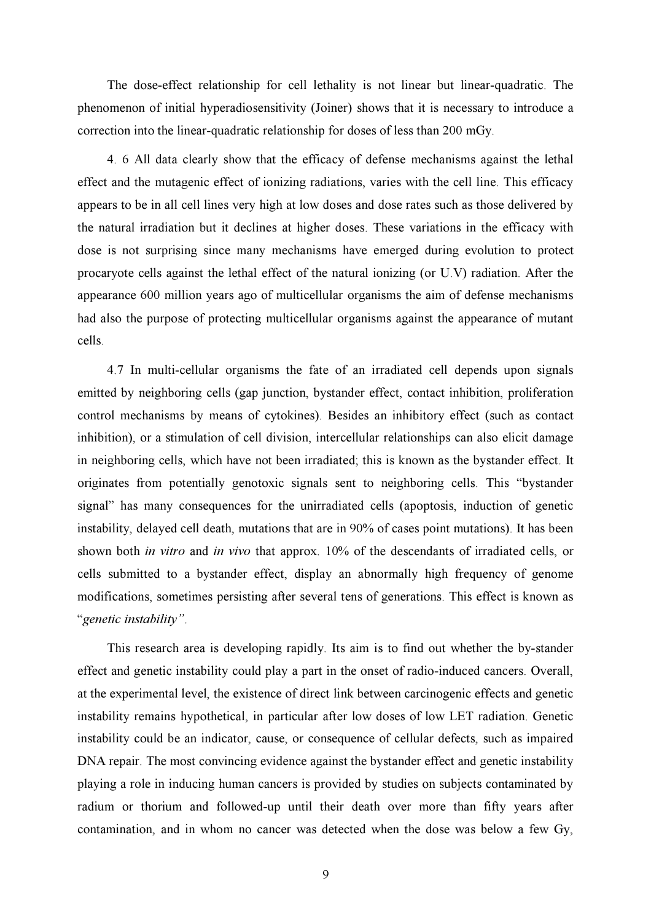The dose-effect relationship for cell lethality is not linear but linear-quadratic. The phenomenon of initial hyperadiosensitivity (Joiner) shows that it is necessary to introduce a correction into the linear-quadratic relationship for doses of less than 200 mGy.

4. 6 All data clearly show that the efficacy of defense mechanisms against the lethal effect and the mutagenic effect of ionizing radiations, varies with the cell line. This efficacy appears to be in all cell lines very high at low doses and dose rates such as those delivered by the natural irradiation but it declines at higher doses. These variations in the efficacy with dose is not surprising since many mechanisms have emerged during evolution to protect procaryote cells against the lethal effect of the natural ionizing (or U.V) radiation. After the appearance 600 million years ago of multicellular organisms the aim of defense mechanisms had also the purpose of protecting multicellular organisms against the appearance of mutant cells.

4.7 In multi-cellular organisms the fate of an irradiated cell depends upon signals emitted by neighboring cells (gap junction, bystander effect, contact inhibition, proliferation control mechanisms by means of cytokines). Besides an inhibitory effect (such as contact inhibition), or a stimulation of cell division, intercellular relationships can also elicit damage in neighboring cells, which have not been irradiated; this is known as the bystander effect. It originates from potentially genotoxic signals sent to neighboring cells. This "bystander signal" has many consequences for the unirradiated cells (apoptosis, induction of genetic instability, delayed cell death, mutations that are in 90% of cases point mutations). It has been shown both *in vitro* and *in vivo* that approx. 10% of the descendants of irradiated cells, or cells submitted to a bystander effect, display an abnormally high frequency of genome modifications, sometimes persisting after several tens of generations. This effect is known as "genetic instability".

This research area is developing rapidly. Its aim is to find out whether the by-stander effect and genetic instability could play a part in the onset of radio-induced cancers. Overall, at the experimental level, the existence of direct link between carcinogenic effects and genetic instability remains hypothetical, in particular after low doses of low LET radiation. Genetic instability could be an indicator, cause, or consequence of cellular defects, such as impaired DNA repair. The most convincing evidence against the bystander effect and genetic instability playing a role in inducing human cancers is provided by studies on subjects contaminated by radium or thorium and followed-up until their death over more than fifty years after contamination, and in whom no cancer was detected when the dose was below a few Gy,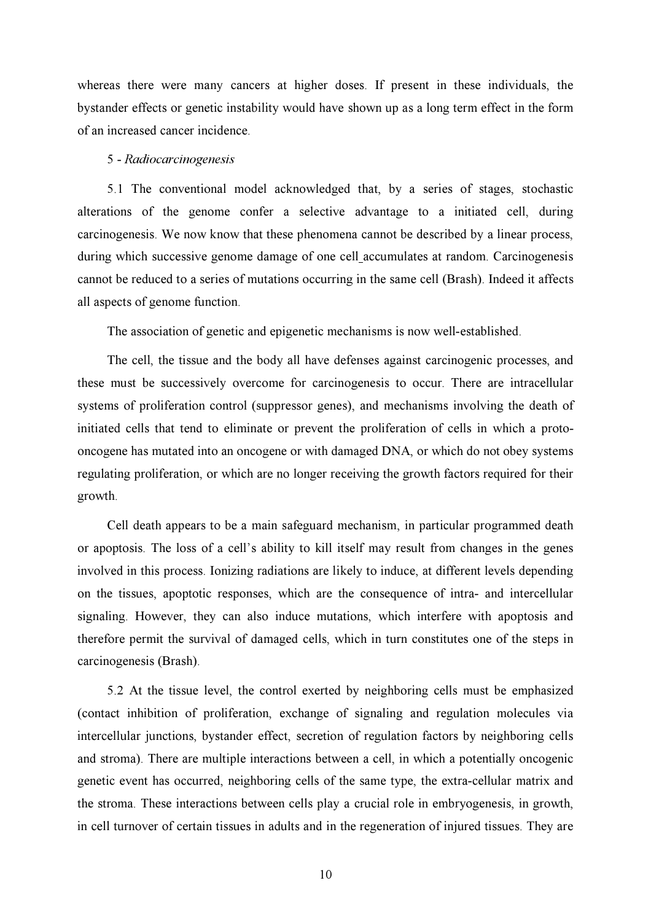whereas there were many cancers at higher doses. If present in these individuals, the bystander effects or genetic instability would have shown up as a long term effect in the form of an increased cancer incidence.

#### 5 - Radiocarcinogenesis

5.1 The conventional model acknowledged that, by a series of stages, stochastic alterations of the genome confer a selective advantage to a initiated cell, during carcinogenesis. We now know that these phenomena cannot be described by a linear process, during which successive genome damage of one cell accumulates at random. Carcinogenesis cannot be reduced to a series of mutations occurring in the same cell (Brash). Indeed it affects all aspects of genome function.

The association of genetic and epigenetic mechanisms is now well-established.

The cell, the tissue and the body all have defenses against carcinogenic processes, and these must be successively overcome for carcinogenesis to occur. There are intracellular systems of proliferation control (suppressor genes), and mechanisms involving the death of initiated cells that tend to eliminate or prevent the proliferation of cells in which a protooncogene has mutated into an oncogene or with damaged DNA, or which do not obey systems regulating proliferation, or which are no longer receiving the growth factors required for their growth.

Cell death appears to be a main safeguard mechanism, in particular programmed death or apoptosis. The loss of a cell's ability to kill itself may result from changes in the genes involved in this process. Ionizing radiations are likely to induce, at different levels depending on the tissues, apoptotic responses, which are the consequence of intra- and intercellular signaling. However, they can also induce mutations, which interfere with apoptosis and therefore permit the survival of damaged cells, which in turn constitutes one of the steps in carcinogenesis (Brash).

5.2 At the tissue level, the control exerted by neighboring cells must be emphasized (contact inhibition of proliferation, exchange of signaling and regulation molecules via intercellular junctions, bystander effect, secretion of regulation factors by neighboring cells and stroma). There are multiple interactions between a cell, in which a potentially oncogenic genetic event has occurred, neighboring cells of the same type, the extra-cellular matrix and the stroma. These interactions between cells play a crucial role in embryogenesis, in growth, in cell turnover of certain tissues in adults and in the regeneration of injured tissues. They are

10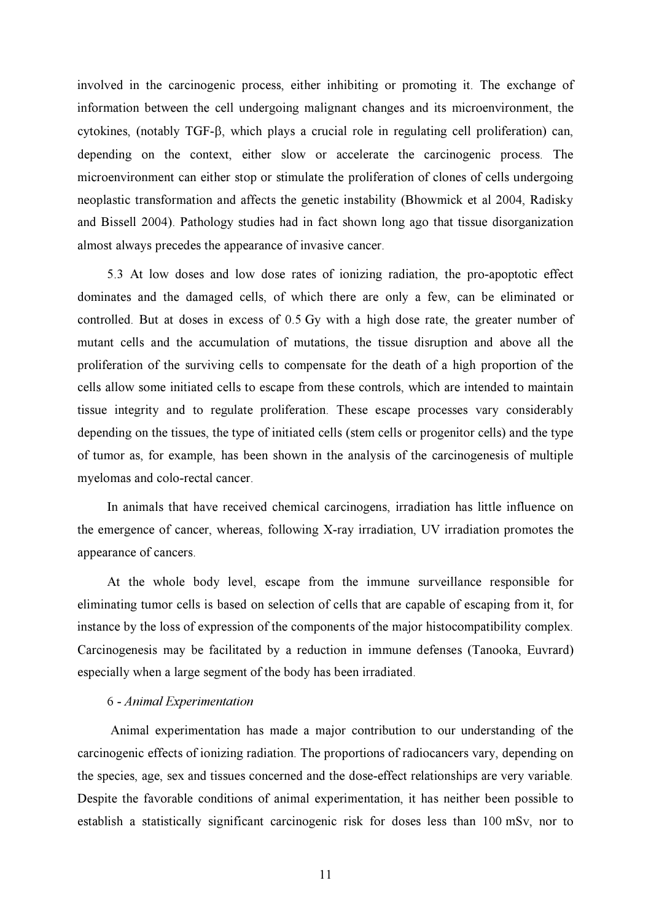involved in the carcinogenic process, either inhibiting or promoting it. The exchange of information between the cell undergoing malignant changes and its microenvironment, the cytokines, (notably TGF-β, which plays a crucial role in regulating cell proliferation) can, depending on the context, either slow or accelerate the carcinogenic process. The microenvironment can either stop or stimulate the proliferation of clones of cells undergoing neoplastic transformation and affects the genetic instability (Bhowmick et al 2004, Radisky and Bissell 2004). Pathology studies had in fact shown long ago that tissue disorganization almost always precedes the appearance of invasive cancer.

5.3 At low doses and low dose rates of ionizing radiation, the pro-apoptotic effect dominates and the damaged cells, of which there are only a few, can be eliminated or controlled. But at doses in excess of 0.5 Gy with a high dose rate, the greater number of mutant cells and the accumulation of mutations, the tissue disruption and above all the proliferation of the surviving cells to compensate for the death of a high proportion of the cells allow some initiated cells to escape from these controls, which are intended to maintain tissue integrity and to regulate proliferation. These escape processes vary considerably depending on the tissues, the type of initiated cells (stem cells or progenitor cells) and the type of tumor as, for example, has been shown in the analysis of the carcinogenesis of multiple myelomas and colo-rectal cancer.

In animals that have received chemical carcinogens, irradiation has little influence on the emergence of cancer, whereas, following X-ray irradiation, UV irradiation promotes the appearance of cancers.

At the whole body level, escape from the immune surveillance responsible for eliminating tumor cells is based on selection of cells that are capable of escaping from it, for instance by the loss of expression of the components of the major histocompatibility complex. Carcinogenesis may be facilitated by a reduction in immune defenses (Tanooka, Euvrard) especially when a large segment of the body has been irradiated.

#### 6 - Animal Experimentation

 Animal experimentation has made a major contribution to our understanding of the carcinogenic effects of ionizing radiation. The proportions of radiocancers vary, depending on the species, age, sex and tissues concerned and the dose-effect relationships are very variable. Despite the favorable conditions of animal experimentation, it has neither been possible to establish a statistically significant carcinogenic risk for doses less than 100 mSv, nor to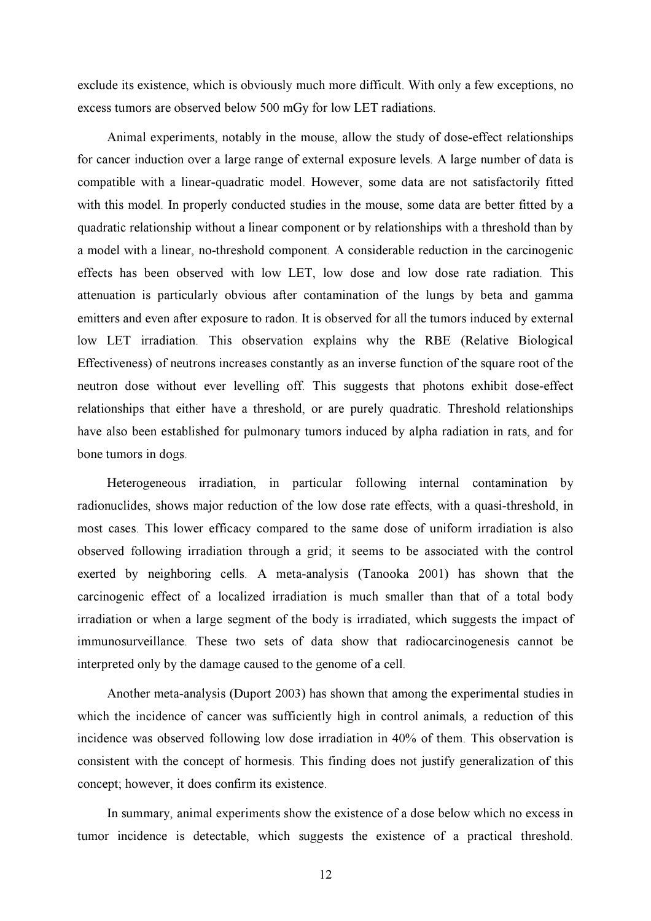exclude its existence, which is obviously much more difficult. With only a few exceptions, no excess tumors are observed below 500 mGy for low LET radiations.

Animal experiments, notably in the mouse, allow the study of dose-effect relationships for cancer induction over a large range of external exposure levels. A large number of data is compatible with a linear-quadratic model. However, some data are not satisfactorily fitted with this model. In properly conducted studies in the mouse, some data are better fitted by a quadratic relationship without a linear component or by relationships with a threshold than by a model with a linear, no-threshold component. A considerable reduction in the carcinogenic effects has been observed with low LET, low dose and low dose rate radiation. This attenuation is particularly obvious after contamination of the lungs by beta and gamma emitters and even after exposure to radon. It is observed for all the tumors induced by external low LET irradiation. This observation explains why the RBE (Relative Biological Effectiveness) of neutrons increases constantly as an inverse function of the square root of the neutron dose without ever levelling off. This suggests that photons exhibit dose-effect relationships that either have a threshold, or are purely quadratic. Threshold relationships have also been established for pulmonary tumors induced by alpha radiation in rats, and for bone tumors in dogs.

Heterogeneous irradiation, in particular following internal contamination by radionuclides, shows major reduction of the low dose rate effects, with a quasi-threshold, in most cases. This lower efficacy compared to the same dose of uniform irradiation is also observed following irradiation through a grid; it seems to be associated with the control exerted by neighboring cells. A meta-analysis (Tanooka 2001) has shown that the carcinogenic effect of a localized irradiation is much smaller than that of a total body irradiation or when a large segment of the body is irradiated, which suggests the impact of immunosurveillance. These two sets of data show that radiocarcinogenesis cannot be interpreted only by the damage caused to the genome of a cell.

Another meta-analysis (Duport 2003) has shown that among the experimental studies in which the incidence of cancer was sufficiently high in control animals, a reduction of this incidence was observed following low dose irradiation in 40% of them. This observation is consistent with the concept of hormesis. This finding does not justify generalization of this concept; however, it does confirm its existence.

In summary, animal experiments show the existence of a dose below which no excess in tumor incidence is detectable, which suggests the existence of a practical threshold.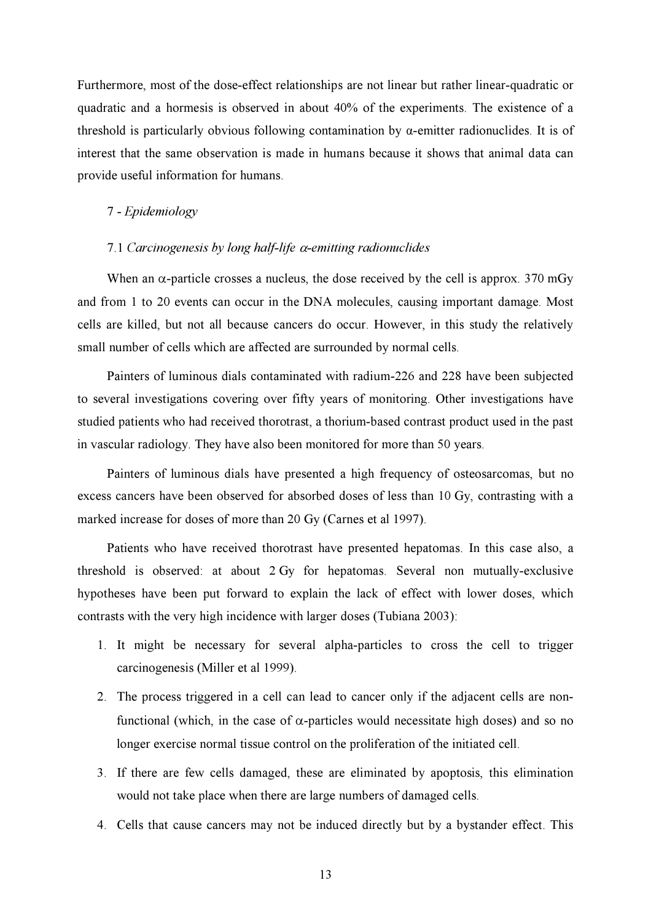Furthermore, most of the dose-effect relationships are not linear but rather linear-quadratic or quadratic and a hormesis is observed in about 40% of the experiments. The existence of a threshold is particularly obvious following contamination by α-emitter radionuclides. It is of interest that the same observation is made in humans because it shows that animal data can provide useful information for humans.

#### 7 - Epidemiology

#### 7.1 Carcinogenesis by long half-life α-emitting radionuclides

When an  $\alpha$ -particle crosses a nucleus, the dose received by the cell is approx. 370 mGy and from 1 to 20 events can occur in the DNA molecules, causing important damage. Most cells are killed, but not all because cancers do occur. However, in this study the relatively small number of cells which are affected are surrounded by normal cells.

Painters of luminous dials contaminated with radium-226 and 228 have been subjected to several investigations covering over fifty years of monitoring. Other investigations have studied patients who had received thorotrast, a thorium-based contrast product used in the past in vascular radiology. They have also been monitored for more than 50 years.

Painters of luminous dials have presented a high frequency of osteosarcomas, but no excess cancers have been observed for absorbed doses of less than 10 Gy, contrasting with a marked increase for doses of more than 20 Gy (Carnes et al 1997).

Patients who have received thorotrast have presented hepatomas. In this case also, a threshold is observed: at about 2 Gy for hepatomas. Several non mutually-exclusive hypotheses have been put forward to explain the lack of effect with lower doses, which contrasts with the very high incidence with larger doses (Tubiana 2003):

- 1. It might be necessary for several alpha-particles to cross the cell to trigger carcinogenesis (Miller et al 1999).
- 2. The process triggered in a cell can lead to cancer only if the adjacent cells are nonfunctional (which, in the case of α-particles would necessitate high doses) and so no longer exercise normal tissue control on the proliferation of the initiated cell.
- 3. If there are few cells damaged, these are eliminated by apoptosis, this elimination would not take place when there are large numbers of damaged cells.
- 4. Cells that cause cancers may not be induced directly but by a bystander effect. This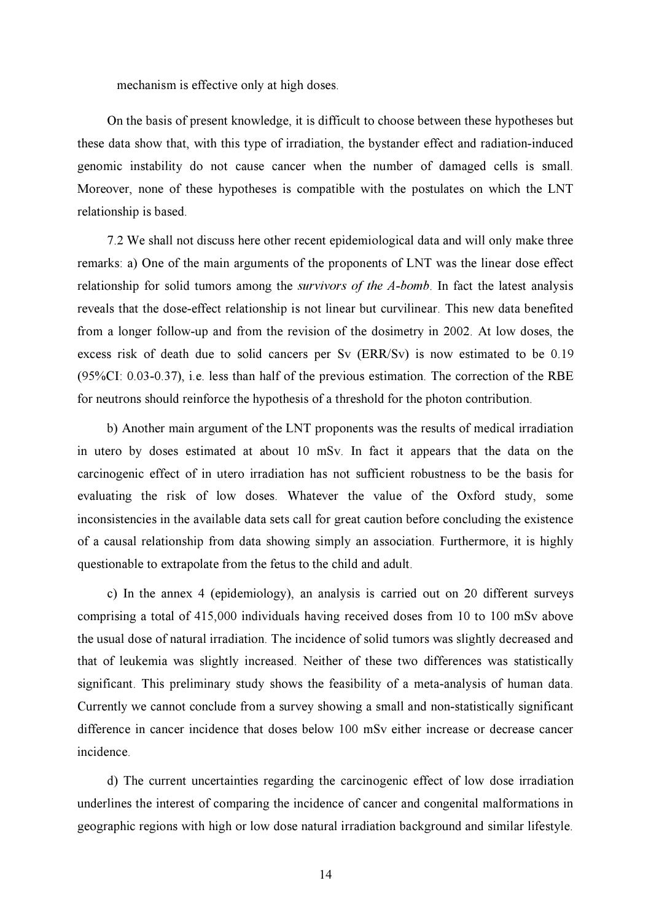mechanism is effective only at high doses.

On the basis of present knowledge, it is difficult to choose between these hypotheses but these data show that, with this type of irradiation, the bystander effect and radiation-induced genomic instability do not cause cancer when the number of damaged cells is small. Moreover, none of these hypotheses is compatible with the postulates on which the LNT relationship is based.

7.2 We shall not discuss here other recent epidemiological data and will only make three remarks: a) One of the main arguments of the proponents of LNT was the linear dose effect relationship for solid tumors among the *survivors of the A-bomb*. In fact the latest analysis reveals that the dose-effect relationship is not linear but curvilinear. This new data benefited from a longer follow-up and from the revision of the dosimetry in 2002. At low doses, the excess risk of death due to solid cancers per Sv (ERR/Sv) is now estimated to be 0.19 (95%CI: 0.03-0.37), i.e. less than half of the previous estimation. The correction of the RBE for neutrons should reinforce the hypothesis of a threshold for the photon contribution.

b) Another main argument of the LNT proponents was the results of medical irradiation in utero by doses estimated at about 10 mSv. In fact it appears that the data on the carcinogenic effect of in utero irradiation has not sufficient robustness to be the basis for evaluating the risk of low doses. Whatever the value of the Oxford study, some inconsistencies in the available data sets call for great caution before concluding the existence of a causal relationship from data showing simply an association. Furthermore, it is highly questionable to extrapolate from the fetus to the child and adult.

c) In the annex 4 (epidemiology), an analysis is carried out on 20 different surveys comprising a total of 415,000 individuals having received doses from 10 to 100 mSv above the usual dose of natural irradiation. The incidence of solid tumors was slightly decreased and that of leukemia was slightly increased. Neither of these two differences was statistically significant. This preliminary study shows the feasibility of a meta-analysis of human data. Currently we cannot conclude from a survey showing a small and non-statistically significant difference in cancer incidence that doses below 100 mSv either increase or decrease cancer incidence.

d) The current uncertainties regarding the carcinogenic effect of low dose irradiation underlines the interest of comparing the incidence of cancer and congenital malformations in geographic regions with high or low dose natural irradiation background and similar lifestyle.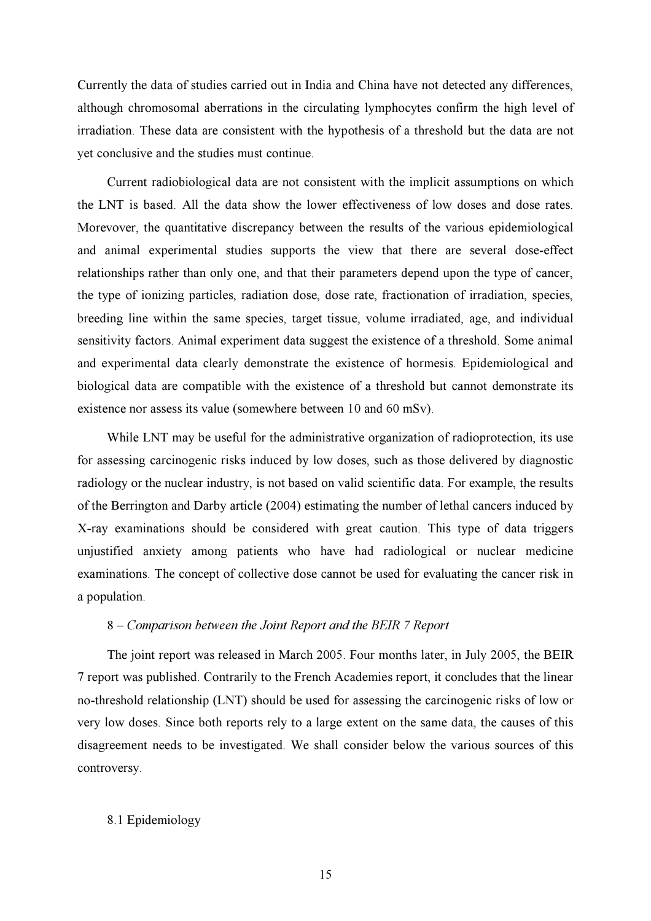Currently the data of studies carried out in India and China have not detected any differences, although chromosomal aberrations in the circulating lymphocytes confirm the high level of irradiation. These data are consistent with the hypothesis of a threshold but the data are not yet conclusive and the studies must continue.

Current radiobiological data are not consistent with the implicit assumptions on which the LNT is based. All the data show the lower effectiveness of low doses and dose rates. Morevover, the quantitative discrepancy between the results of the various epidemiological and animal experimental studies supports the view that there are several dose-effect relationships rather than only one, and that their parameters depend upon the type of cancer, the type of ionizing particles, radiation dose, dose rate, fractionation of irradiation, species, breeding line within the same species, target tissue, volume irradiated, age, and individual sensitivity factors. Animal experiment data suggest the existence of a threshold. Some animal and experimental data clearly demonstrate the existence of hormesis. Epidemiological and biological data are compatible with the existence of a threshold but cannot demonstrate its existence nor assess its value (somewhere between 10 and 60 mSv).

While LNT may be useful for the administrative organization of radioprotection, its use for assessing carcinogenic risks induced by low doses, such as those delivered by diagnostic radiology or the nuclear industry, is not based on valid scientific data. For example, the results of the Berrington and Darby article (2004) estimating the number of lethal cancers induced by X-ray examinations should be considered with great caution. This type of data triggers unjustified anxiety among patients who have had radiological or nuclear medicine examinations. The concept of collective dose cannot be used for evaluating the cancer risk in a population.

#### 8 – Comparison between the Joint Report and the BEIR 7 Report

The joint report was released in March 2005. Four months later, in July 2005, the BEIR 7 report was published. Contrarily to the French Academies report, it concludes that the linear no-threshold relationship (LNT) should be used for assessing the carcinogenic risks of low or very low doses. Since both reports rely to a large extent on the same data, the causes of this disagreement needs to be investigated. We shall consider below the various sources of this controversy.

#### 8.1 Epidemiology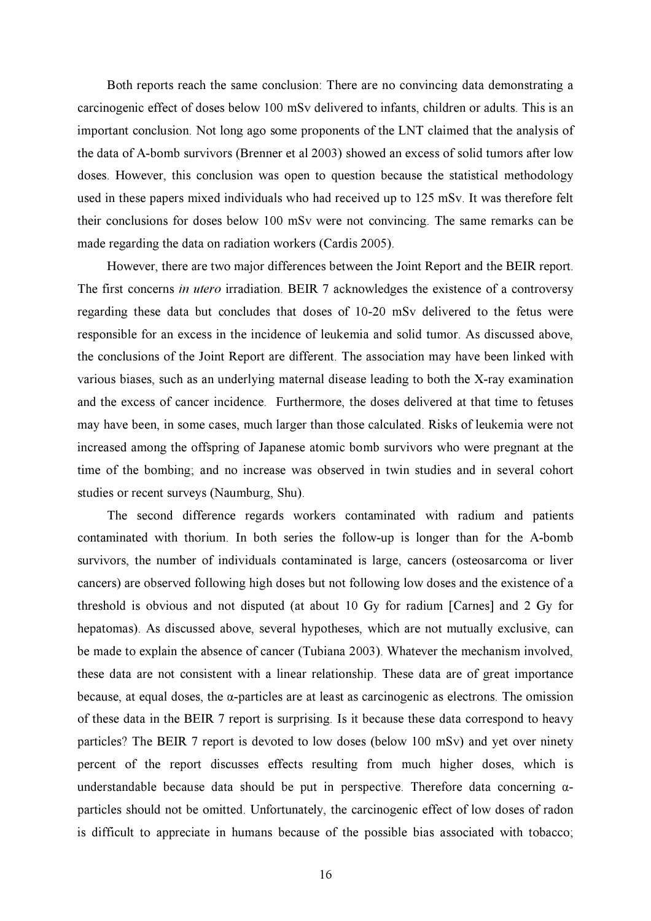Both reports reach the same conclusion: There are no convincing data demonstrating a carcinogenic effect of doses below 100 mSv delivered to infants, children or adults. This is an important conclusion. Not long ago some proponents of the LNT claimed that the analysis of the data of A-bomb survivors (Brenner et al 2003) showed an excess of solid tumors after low doses. However, this conclusion was open to question because the statistical methodology used in these papers mixed individuals who had received up to 125 mSv. It was therefore felt their conclusions for doses below 100 mSv were not convincing. The same remarks can be made regarding the data on radiation workers (Cardis 2005).

However, there are two major differences between the Joint Report and the BEIR report. The first concerns in utero irradiation. BEIR 7 acknowledges the existence of a controversy regarding these data but concludes that doses of 10-20 mSv delivered to the fetus were responsible for an excess in the incidence of leukemia and solid tumor. As discussed above, the conclusions of the Joint Report are different. The association may have been linked with various biases, such as an underlying maternal disease leading to both the X-ray examination and the excess of cancer incidence. Furthermore, the doses delivered at that time to fetuses may have been, in some cases, much larger than those calculated. Risks of leukemia were not increased among the offspring of Japanese atomic bomb survivors who were pregnant at the time of the bombing; and no increase was observed in twin studies and in several cohort studies or recent surveys (Naumburg, Shu).

The second difference regards workers contaminated with radium and patients contaminated with thorium. In both series the follow-up is longer than for the A-bomb survivors, the number of individuals contaminated is large, cancers (osteosarcoma or liver cancers) are observed following high doses but not following low doses and the existence of a threshold is obvious and not disputed (at about 10 Gy for radium [Carnes] and 2 Gy for hepatomas). As discussed above, several hypotheses, which are not mutually exclusive, can be made to explain the absence of cancer (Tubiana 2003). Whatever the mechanism involved, these data are not consistent with a linear relationship. These data are of great importance because, at equal doses, the  $\alpha$ -particles are at least as carcinogenic as electrons. The omission of these data in the BEIR 7 report is surprising. Is it because these data correspond to heavy particles? The BEIR 7 report is devoted to low doses (below 100 mSv) and yet over ninety percent of the report discusses effects resulting from much higher doses, which is understandable because data should be put in perspective. Therefore data concerning  $\alpha$ particles should not be omitted. Unfortunately, the carcinogenic effect of low doses of radon is difficult to appreciate in humans because of the possible bias associated with tobacco;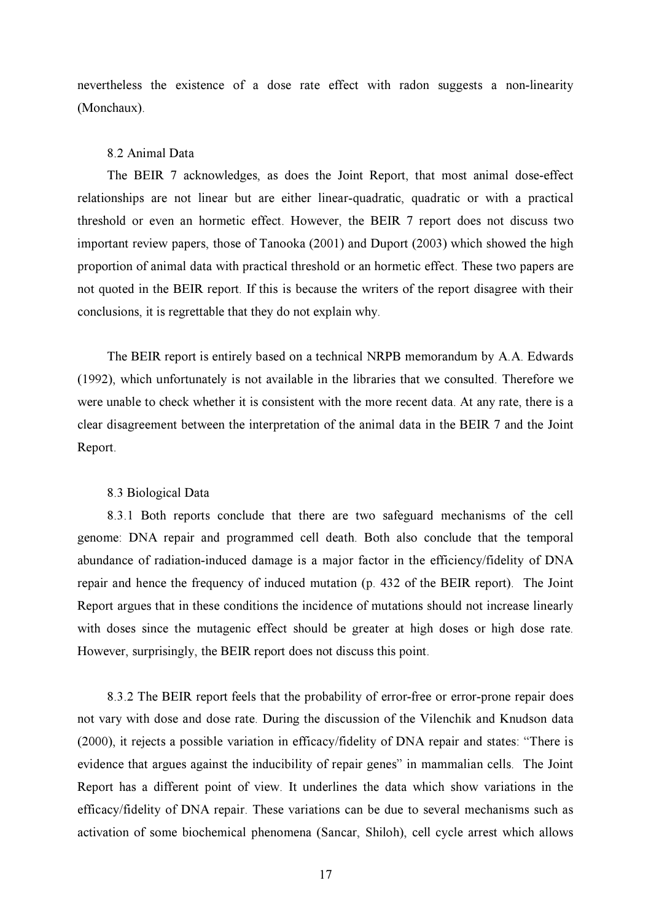nevertheless the existence of a dose rate effect with radon suggests a non-linearity (Monchaux).

#### 8.2 Animal Data

The BEIR 7 acknowledges, as does the Joint Report, that most animal dose-effect relationships are not linear but are either linear-quadratic, quadratic or with a practical threshold or even an hormetic effect. However, the BEIR 7 report does not discuss two important review papers, those of Tanooka (2001) and Duport (2003) which showed the high proportion of animal data with practical threshold or an hormetic effect. These two papers are not quoted in the BEIR report. If this is because the writers of the report disagree with their conclusions, it is regrettable that they do not explain why.

The BEIR report is entirely based on a technical NRPB memorandum by A.A. Edwards (1992), which unfortunately is not available in the libraries that we consulted. Therefore we were unable to check whether it is consistent with the more recent data. At any rate, there is a clear disagreement between the interpretation of the animal data in the BEIR 7 and the Joint Report.

#### 8.3 Biological Data

8.3.1 Both reports conclude that there are two safeguard mechanisms of the cell genome: DNA repair and programmed cell death. Both also conclude that the temporal abundance of radiation-induced damage is a major factor in the efficiency/fidelity of DNA repair and hence the frequency of induced mutation (p. 432 of the BEIR report). The Joint Report argues that in these conditions the incidence of mutations should not increase linearly with doses since the mutagenic effect should be greater at high doses or high dose rate. However, surprisingly, the BEIR report does not discuss this point.

8.3.2 The BEIR report feels that the probability of error-free or error-prone repair does not vary with dose and dose rate. During the discussion of the Vilenchik and Knudson data (2000), it rejects a possible variation in efficacy/fidelity of DNA repair and states: "There is evidence that argues against the inducibility of repair genes" in mammalian cells. The Joint Report has a different point of view. It underlines the data which show variations in the efficacy/fidelity of DNA repair. These variations can be due to several mechanisms such as activation of some biochemical phenomena (Sancar, Shiloh), cell cycle arrest which allows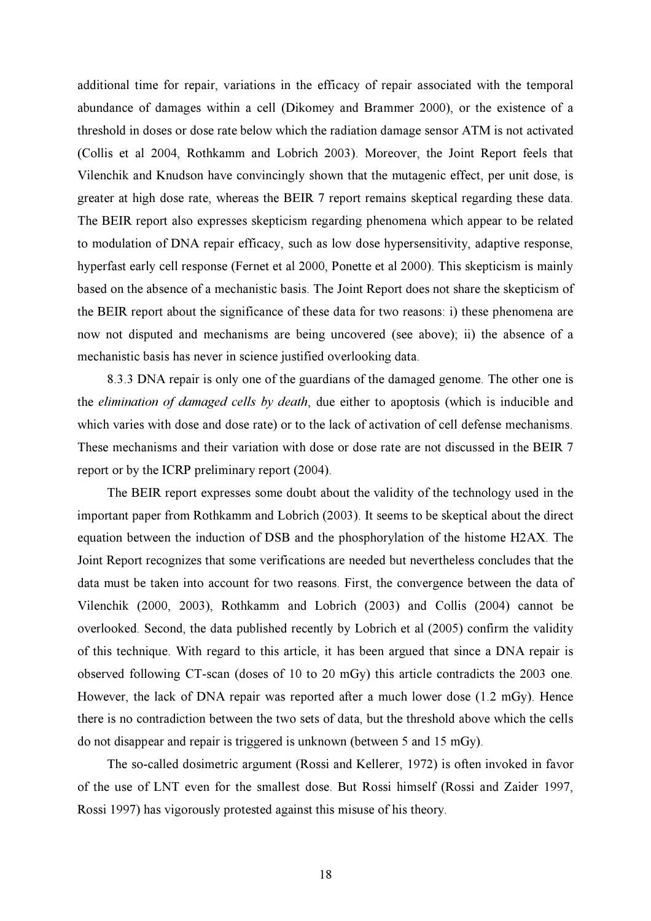additional time for repair, variations in the efficacy of repair associated with the temporal abundance of damages within a cell (Dikomey and Brammer 2000), or the existence of a threshold in doses or dose rate below which the radiation damage sensor ATM is not activated (Collis et al 2004, Rothkamm and Lobrich 2003). Moreover, the Joint Report feels that Vilenchik and Knudson have convincingly shown that the mutagenic effect, per unit dose, is greater at high dose rate, whereas the BEIR 7 report remains skeptical regarding these data. The BEIR report also expresses skepticism regarding phenomena which appear to be related to modulation of DNA repair efficacy, such as low dose hypersensitivity, adaptive response, hyperfast early cell response (Fernet et al 2000, Ponette et al 2000). This skepticism is mainly based on the absence of a mechanistic basis. The Joint Report does not share the skepticism of the BEIR report about the significance of these data for two reasons: i) these phenomena are now not disputed and mechanisms are being uncovered (see above); ii) the absence of a mechanistic basis has never in science justified overlooking data.

8.3.3 DNA repair is only one of the guardians of the damaged genome. The other one is the elimination of damaged cells by death, due either to apoptosis (which is inducible and which varies with dose and dose rate) or to the lack of activation of cell defense mechanisms. These mechanisms and their variation with dose or dose rate are not discussed in the BEIR 7 report or by the ICRP preliminary report (2004).

The BEIR report expresses some doubt about the validity of the technology used in the important paper from Rothkamm and Lobrich (2003). It seems to be skeptical about the direct equation between the induction of DSB and the phosphorylation of the histome H2AX. The Joint Report recognizes that some verifications are needed but nevertheless concludes that the data must be taken into account for two reasons. First, the convergence between the data of Vilenchik (2000, 2003), Rothkamm and Lobrich (2003) and Collis (2004) cannot be overlooked. Second, the data published recently by Lobrich et al (2005) confirm the validity of this technique. With regard to this article, it has been argued that since a DNA repair is observed following CT-scan (doses of 10 to 20 mGy) this article contradicts the 2003 one. However, the lack of DNA repair was reported after a much lower dose (1.2 mGy). Hence there is no contradiction between the two sets of data, but the threshold above which the cells do not disappear and repair is triggered is unknown (between 5 and 15 mGy).

The so-called dosimetric argument (Rossi and Kellerer, 1972) is often invoked in favor of the use of LNT even for the smallest dose. But Rossi himself (Rossi and Zaider 1997, Rossi 1997) has vigorously protested against this misuse of his theory.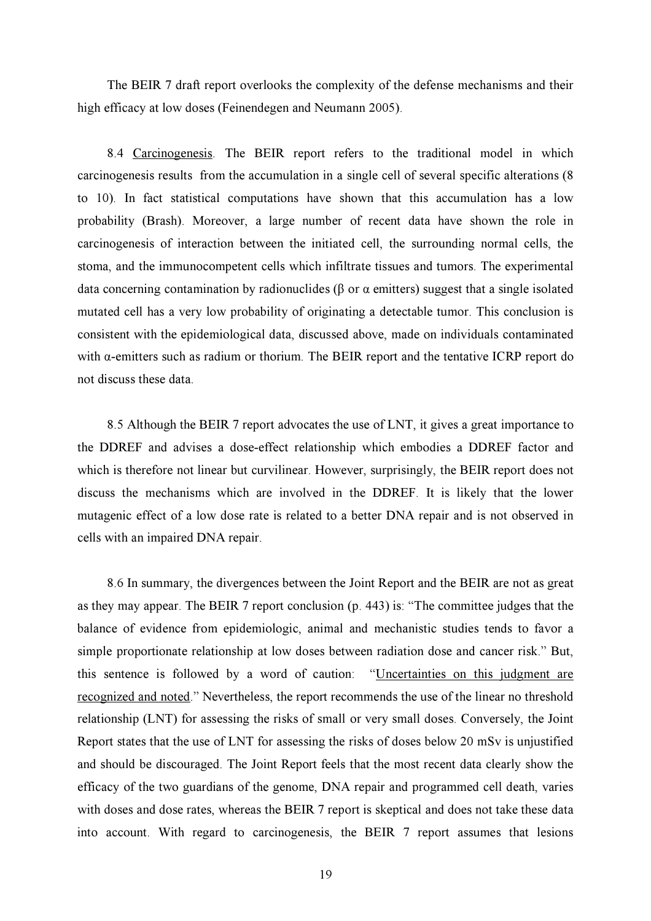The BEIR 7 draft report overlooks the complexity of the defense mechanisms and their high efficacy at low doses (Feinendegen and Neumann 2005).

8.4 Carcinogenesis. The BEIR report refers to the traditional model in which carcinogenesis results from the accumulation in a single cell of several specific alterations (8 to 10). In fact statistical computations have shown that this accumulation has a low probability (Brash). Moreover, a large number of recent data have shown the role in carcinogenesis of interaction between the initiated cell, the surrounding normal cells, the stoma, and the immunocompetent cells which infiltrate tissues and tumors. The experimental data concerning contamination by radionuclides (β or α emitters) suggest that a single isolated mutated cell has a very low probability of originating a detectable tumor. This conclusion is consistent with the epidemiological data, discussed above, made on individuals contaminated with α-emitters such as radium or thorium. The BEIR report and the tentative ICRP report do not discuss these data.

8.5 Although the BEIR 7 report advocates the use of LNT, it gives a great importance to the DDREF and advises a dose-effect relationship which embodies a DDREF factor and which is therefore not linear but curvilinear. However, surprisingly, the BEIR report does not discuss the mechanisms which are involved in the DDREF. It is likely that the lower mutagenic effect of a low dose rate is related to a better DNA repair and is not observed in cells with an impaired DNA repair.

8.6 In summary, the divergences between the Joint Report and the BEIR are not as great as they may appear. The BEIR 7 report conclusion (p. 443) is: "The committee judges that the balance of evidence from epidemiologic, animal and mechanistic studies tends to favor a simple proportionate relationship at low doses between radiation dose and cancer risk." But, this sentence is followed by a word of caution: "Uncertainties on this judgment are recognized and noted." Nevertheless, the report recommends the use of the linear no threshold relationship (LNT) for assessing the risks of small or very small doses. Conversely, the Joint Report states that the use of LNT for assessing the risks of doses below 20 mSv is unjustified and should be discouraged. The Joint Report feels that the most recent data clearly show the efficacy of the two guardians of the genome, DNA repair and programmed cell death, varies with doses and dose rates, whereas the BEIR 7 report is skeptical and does not take these data into account. With regard to carcinogenesis, the BEIR 7 report assumes that lesions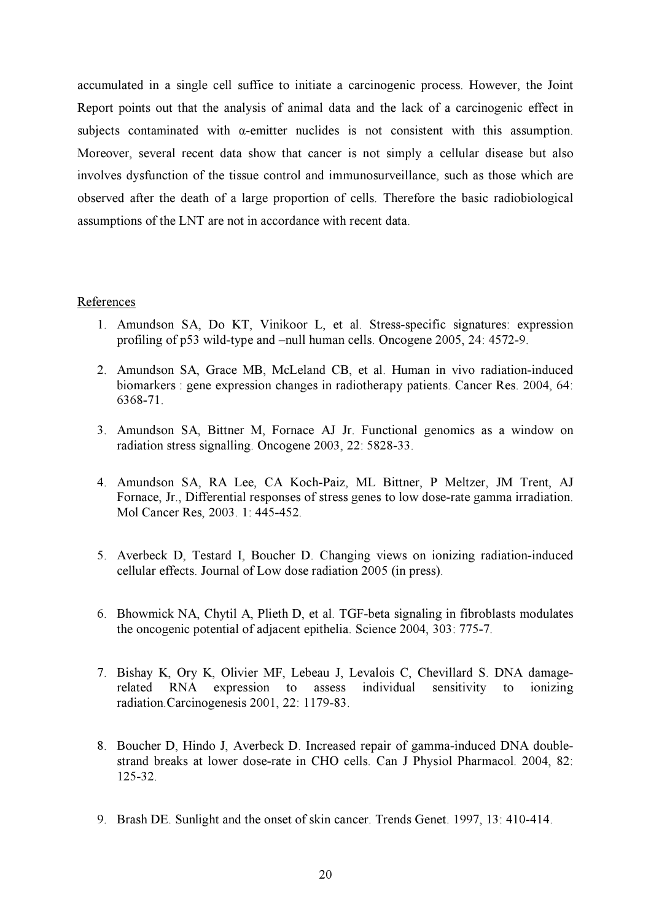accumulated in a single cell suffice to initiate a carcinogenic process. However, the Joint Report points out that the analysis of animal data and the lack of a carcinogenic effect in subjects contaminated with α-emitter nuclides is not consistent with this assumption. Moreover, several recent data show that cancer is not simply a cellular disease but also involves dysfunction of the tissue control and immunosurveillance, such as those which are observed after the death of a large proportion of cells. Therefore the basic radiobiological assumptions of the LNT are not in accordance with recent data.

#### References

- 1. Amundson SA, Do KT, Vinikoor L, et al. Stress-specific signatures: expression profiling of p53 wild-type and –null human cells. Oncogene 2005, 24: 4572-9.
- 2. Amundson SA, Grace MB, McLeland CB, et al. Human in vivo radiation-induced biomarkers : gene expression changes in radiotherapy patients. Cancer Res. 2004, 64: 6368-71.
- 3. Amundson SA, Bittner M, Fornace AJ Jr. Functional genomics as a window on radiation stress signalling. Oncogene 2003, 22: 5828-33.
- 4. Amundson SA, RA Lee, CA Koch-Paiz, ML Bittner, P Meltzer, JM Trent, AJ Fornace, Jr., Differential responses of stress genes to low dose-rate gamma irradiation. Mol Cancer Res, 2003. 1: 445-452.
- 5. Averbeck D, Testard I, Boucher D. Changing views on ionizing radiation-induced cellular effects. Journal of Low dose radiation 2005 (in press).
- 6. Bhowmick NA, Chytil A, Plieth D, et al. TGF-beta signaling in fibroblasts modulates the oncogenic potential of adjacent epithelia. Science 2004, 303: 775-7.
- 7. Bishay K, Ory K, Olivier MF, Lebeau J, Levalois C, Chevillard S. DNA damagerelated RNA expression to assess individual sensitivity to ionizing radiation.Carcinogenesis 2001, 22: 1179-83.
- 8. Boucher D, Hindo J, Averbeck D. Increased repair of gamma-induced DNA doublestrand breaks at lower dose-rate in CHO cells. Can J Physiol Pharmacol. 2004, 82: 125-32.
- 9. Brash DE. Sunlight and the onset of skin cancer. Trends Genet. 1997, 13: 410-414.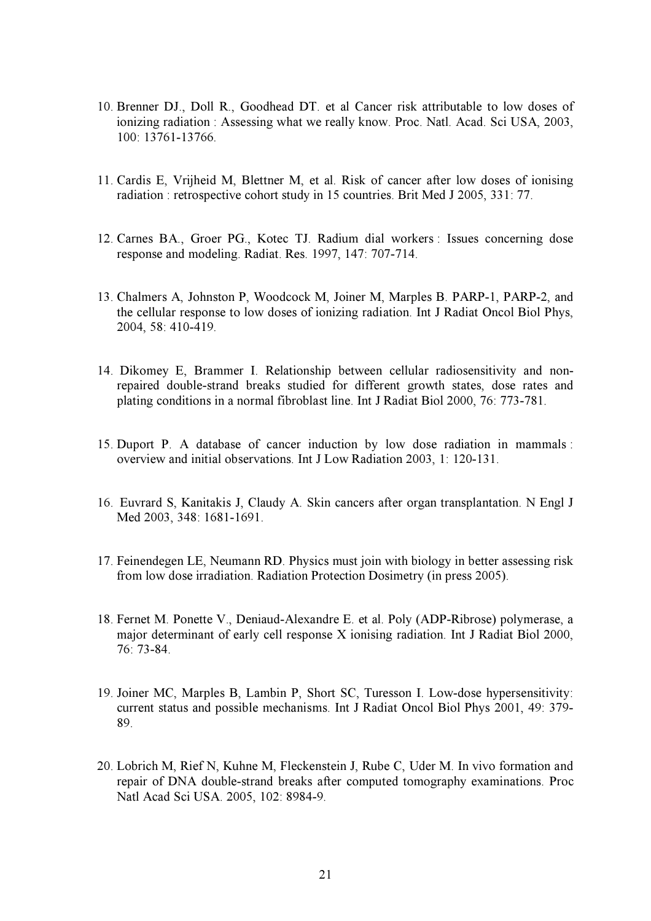- 10. Brenner DJ., Doll R., Goodhead DT. et al Cancer risk attributable to low doses of ionizing radiation : Assessing what we really know. Proc. Natl. Acad. Sci USA, 2003, 100: 13761-13766.
- 11. Cardis E, Vrijheid M, Blettner M, et al. Risk of cancer after low doses of ionising radiation : retrospective cohort study in 15 countries. Brit Med J 2005, 331: 77.
- 12. Carnes BA., Groer PG., Kotec TJ. Radium dial workers : Issues concerning dose response and modeling. Radiat. Res. 1997, 147: 707-714.
- 13. Chalmers A, Johnston P, Woodcock M, Joiner M, Marples B. PARP-1, PARP-2, and the cellular response to low doses of ionizing radiation. Int J Radiat Oncol Biol Phys, 2004, 58: 410-419.
- 14. Dikomey E, Brammer I. Relationship between cellular radiosensitivity and nonrepaired double-strand breaks studied for different growth states, dose rates and plating conditions in a normal fibroblast line. Int J Radiat Biol 2000, 76: 773-781.
- 15. Duport P. A database of cancer induction by low dose radiation in mammals : overview and initial observations. Int J Low Radiation 2003, 1: 120-131.
- 16. Euvrard S, Kanitakis J, Claudy A. Skin cancers after organ transplantation. N Engl J Med 2003, 348: 1681-1691.
- 17. Feinendegen LE, Neumann RD. Physics must join with biology in better assessing risk from low dose irradiation. Radiation Protection Dosimetry (in press 2005).
- 18. Fernet M. Ponette V., Deniaud-Alexandre E. et al. Poly (ADP-Ribrose) polymerase, a major determinant of early cell response X ionising radiation. Int J Radiat Biol 2000, 76: 73-84.
- 19. Joiner MC, Marples B, Lambin P, Short SC, Turesson I. Low-dose hypersensitivity: current status and possible mechanisms. Int J Radiat Oncol Biol Phys 2001, 49: 379- 89.
- 20. Lobrich M, Rief N, Kuhne M, Fleckenstein J, Rube C, Uder M. In vivo formation and repair of DNA double-strand breaks after computed tomography examinations. Proc Natl Acad Sci USA. 2005, 102: 8984-9.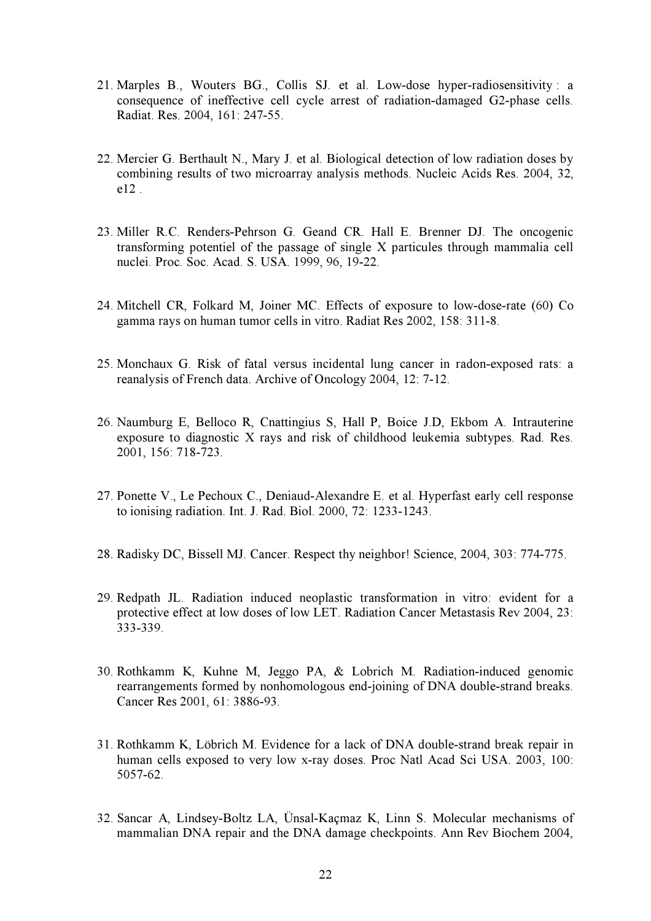- 21. Marples B., Wouters BG., Collis SJ. et al. Low-dose hyper-radiosensitivity : a consequence of ineffective cell cycle arrest of radiation-damaged G2-phase cells. Radiat. Res. 2004, 161: 247-55.
- 22. Mercier G. Berthault N., Mary J. et al. Biological detection of low radiation doses by combining results of two microarray analysis methods. Nucleic Acids Res. 2004, 32, e12 .
- 23. Miller R.C. Renders-Pehrson G. Geand CR. Hall E. Brenner DJ. The oncogenic transforming potentiel of the passage of single X particules through mammalia cell nuclei. Proc. Soc. Acad. S. USA. 1999, 96, 19-22.
- 24. Mitchell CR, Folkard M, Joiner MC. Effects of exposure to low-dose-rate (60) Co gamma rays on human tumor cells in vitro. Radiat Res 2002, 158: 311-8.
- 25. Monchaux G. Risk of fatal versus incidental lung cancer in radon-exposed rats: a reanalysis of French data. Archive of Oncology 2004, 12: 7-12.
- 26. Naumburg E, Belloco R, Cnattingius S, Hall P, Boice J.D, Ekbom A. Intrauterine exposure to diagnostic X rays and risk of childhood leukemia subtypes. Rad. Res. 2001, 156: 718-723.
- 27. Ponette V., Le Pechoux C., Deniaud-Alexandre E. et al. Hyperfast early cell response to ionising radiation. Int. J. Rad. Biol. 2000, 72: 1233-1243.
- 28. Radisky DC, Bissell MJ. Cancer. Respect thy neighbor! Science, 2004, 303: 774-775.
- 29. Redpath JL. Radiation induced neoplastic transformation in vitro: evident for a protective effect at low doses of low LET. Radiation Cancer Metastasis Rev 2004, 23: 333-339.
- 30. Rothkamm K, Kuhne M, Jeggo PA, & Lobrich M. Radiation-induced genomic rearrangements formed by nonhomologous end-joining of DNA double-strand breaks. Cancer Res 2001, 61: 3886-93.
- 31. Rothkamm K, Löbrich M. Evidence for a lack of DNA double-strand break repair in human cells exposed to very low x-ray doses. Proc Natl Acad Sci USA. 2003, 100: 5057-62.
- 32. Sancar A, Lindsey-Boltz LA, Ünsal-Kaçmaz K, Linn S. Molecular mechanisms of mammalian DNA repair and the DNA damage checkpoints. Ann Rev Biochem 2004,